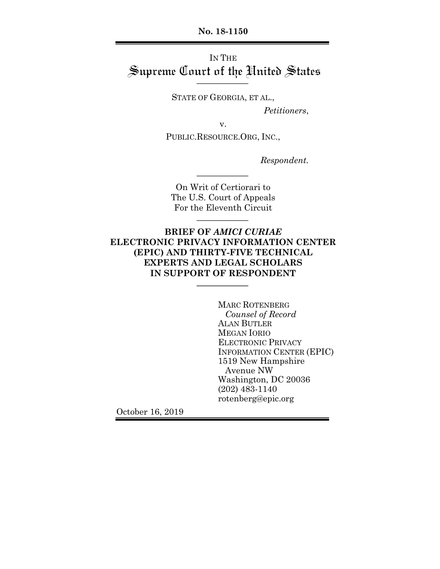**No. 18-1150**

# IN THE Supreme Court of the United States

STATE OF GEORGIA, ET AL.,

*Petitioners*,

v.

PUBLIC.RESOURCE.ORG, INC.,

*Respondent.*

On Writ of Certiorari to The U.S. Court of Appeals For the Eleventh Circuit

## **BRIEF OF** *AMICI CURIAE* **ELECTRONIC PRIVACY INFORMATION CENTER (EPIC) AND THIRTY-FIVE TECHNICAL EXPERTS AND LEGAL SCHOLARS IN SUPPORT OF RESPONDENT**

MARC ROTENBERG *Counsel of Record* ALAN BUTLER MEGAN IORIO ELECTRONIC PRIVACY INFORMATION CENTER (EPIC) 1519 New Hampshire Avenue NW Washington, DC 20036 (202) 483-1140 rotenberg@epic.org

October 16, 2019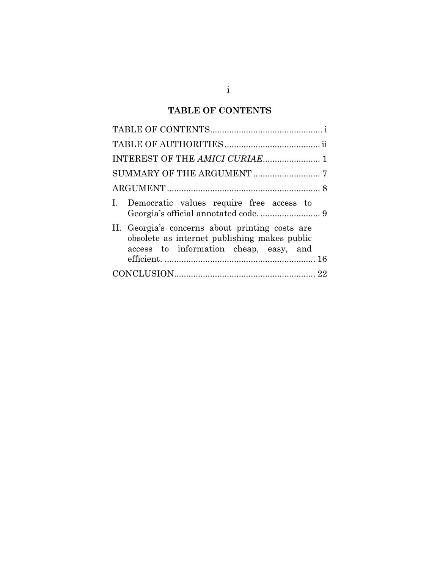# **TABLE OF CONTENTS**

|  | I. Democratic values require free access to                                                                                               |  |  |
|--|-------------------------------------------------------------------------------------------------------------------------------------------|--|--|
|  | II. Georgia's concerns about printing costs are<br>obsolete as internet publishing makes public<br>access to information cheap, easy, and |  |  |
|  |                                                                                                                                           |  |  |
|  |                                                                                                                                           |  |  |
|  |                                                                                                                                           |  |  |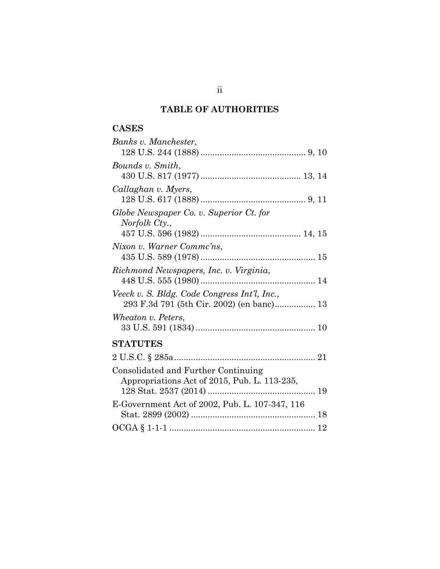# **TABLE OF AUTHORITIES**

# **CASES**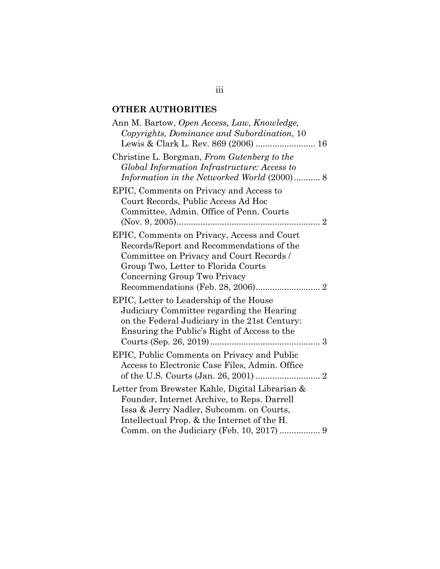# **OTHER AUTHORITIES**

| Ann M. Bartow, Open Access, Law, Knowledge,     |  |
|-------------------------------------------------|--|
| Copyrights, Dominance and Subordination, 10     |  |
| Lewis & Clark L. Rev. 869 (2006)  16            |  |
| Christine L. Borgman, From Gutenberg to the     |  |
| Global Information Infrastructure: Access to    |  |
| Information in the Networked World (2000) 8     |  |
| EPIC, Comments on Privacy and Access to         |  |
| Court Records, Public Access Ad Hoc             |  |
| Committee, Admin. Office of Penn. Courts        |  |
| 2                                               |  |
| EPIC, Comments on Privacy, Access and Court     |  |
| Records/Report and Recommendations of the       |  |
| Committee on Privacy and Court Records /        |  |
| Group Two, Letter to Florida Courts             |  |
| Concerning Group Two Privacy                    |  |
|                                                 |  |
| EPIC, Letter to Leadership of the House         |  |
| Judiciary Committee regarding the Hearing       |  |
| on the Federal Judiciary in the 21st Century:   |  |
| Ensuring the Public's Right of Access to the    |  |
|                                                 |  |
| EPIC, Public Comments on Privacy and Public     |  |
| Access to Electronic Case Files, Admin. Office  |  |
|                                                 |  |
|                                                 |  |
| Letter from Brewster Kahle, Digital Librarian & |  |
| Founder, Internet Archive, to Reps. Darrell     |  |
| Issa & Jerry Nadler, Subcomm. on Courts,        |  |
| Intellectual Prop. & the Internet of the H.     |  |
|                                                 |  |

iii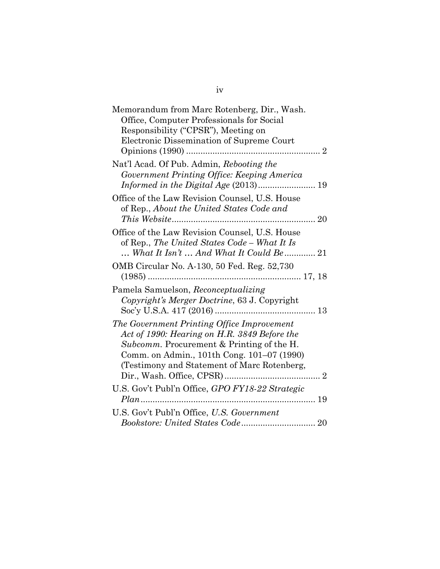| Memorandum from Marc Rotenberg, Dir., Wash.                                                    |
|------------------------------------------------------------------------------------------------|
| Office, Computer Professionals for Social                                                      |
| Responsibility ("CPSR"), Meeting on                                                            |
| Electronic Dissemination of Supreme Court                                                      |
| Opinions (1990)                                                                                |
| Nat'l Acad. Of Pub. Admin, Rebooting the<br>Government Printing Office: Keeping America        |
|                                                                                                |
| Office of the Law Revision Counsel, U.S. House<br>of Rep., About the United States Code and    |
|                                                                                                |
| Office of the Law Revision Counsel, U.S. House<br>of Rep., The United States Code - What It Is |
| $\ldots$ What It Isn't $\ldots$ And What It Could Be $\ldots$ 21                               |
| OMB Circular No. A-130, 50 Fed. Reg. 52,730                                                    |
| Pamela Samuelson, Reconceptualizing<br>Copyright's Merger Doctrine, 63 J. Copyright            |
| The Government Printing Office Improvement<br>Act of 1990: Hearing on H.R. 3849 Before the     |
| Subcomm. Procurement & Printing of the H.                                                      |
| Comm. on Admin., 101th Cong. 101–07 (1990)                                                     |
| (Testimony and Statement of Marc Rotenberg,<br>$\ldots$ 2                                      |
| U.S. Gov't Publ'n Office, GPO FY18-22 Strategic                                                |
|                                                                                                |
| U.S. Gov't Publ'n Office, U.S. Government                                                      |
|                                                                                                |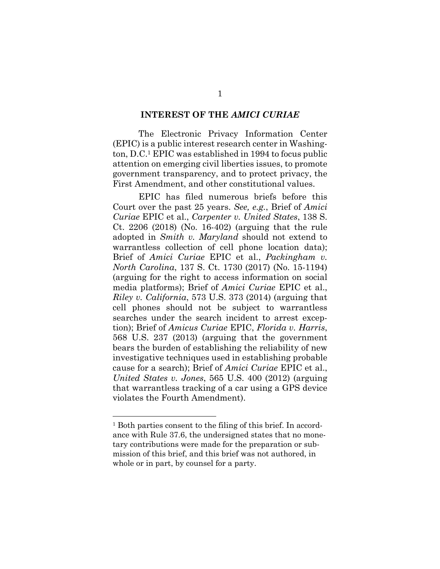#### **INTEREST OF THE** *AMICI CURIAE*

The Electronic Privacy Information Center (EPIC) is a public interest research center in Washington, D.C.1 EPIC was established in 1994 to focus public attention on emerging civil liberties issues, to promote government transparency, and to protect privacy, the First Amendment, and other constitutional values.

EPIC has filed numerous briefs before this Court over the past 25 years. *See, e.g.*, Brief of *Amici Curiae* EPIC et al., *Carpenter v. United States*, 138 S. Ct. 2206 (2018) (No. 16-402) (arguing that the rule adopted in *Smith v. Maryland* should not extend to warrantless collection of cell phone location data); Brief of *Amici Curiae* EPIC et al., *Packingham v. North Carolina*, 137 S. Ct. 1730 (2017) (No. 15-1194) (arguing for the right to access information on social media platforms); Brief of *Amici Curiae* EPIC et al., *Riley v. California*, 573 U.S. 373 (2014) (arguing that cell phones should not be subject to warrantless searches under the search incident to arrest exception); Brief of *Amicus Curiae* EPIC, *Florida v. Harris*, 568 U.S. 237 (2013) (arguing that the government bears the burden of establishing the reliability of new investigative techniques used in establishing probable cause for a search); Brief of *Amici Curiae* EPIC et al., *United States v. Jones*, 565 U.S. 400 (2012) (arguing that warrantless tracking of a car using a GPS device violates the Fourth Amendment).

<sup>&</sup>lt;sup>1</sup> Both parties consent to the filing of this brief. In accordance with Rule 37.6, the undersigned states that no monetary contributions were made for the preparation or submission of this brief, and this brief was not authored, in whole or in part, by counsel for a party.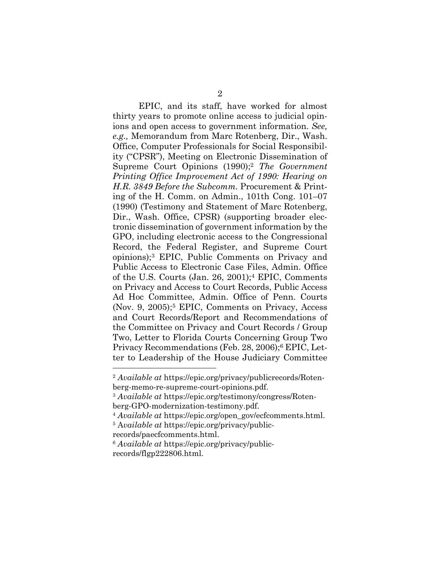EPIC, and its staff, have worked for almost thirty years to promote online access to judicial opinions and open access to government information. *See, e.g.,* Memorandum from Marc Rotenberg, Dir., Wash. Office, Computer Professionals for Social Responsibility ("CPSR"), Meeting on Electronic Dissemination of Supreme Court Opinions (1990);2 *The Government Printing Office Improvement Act of 1990: Hearing on H.R. 3849 Before the Subcomm.* Procurement & Printing of the H. Comm. on Admin., 101th Cong. 101–07 (1990) (Testimony and Statement of Marc Rotenberg, Dir., Wash. Office, CPSR) (supporting broader electronic dissemination of government information by the GPO, including electronic access to the Congressional Record, the Federal Register, and Supreme Court opinions);3 EPIC, Public Comments on Privacy and Public Access to Electronic Case Files, Admin. Office of the U.S. Courts (Jan. 26, 2001);4 EPIC, Comments on Privacy and Access to Court Records, Public Access Ad Hoc Committee, Admin. Office of Penn. Courts (Nov. 9, 2005);5 EPIC, Comments on Privacy, Access and Court Records/Report and Recommendations of the Committee on Privacy and Court Records / Group Two, Letter to Florida Courts Concerning Group Two Privacy Recommendations (Feb. 28, 2006);6 EPIC, Letter to Leadership of the House Judiciary Committee

<sup>2</sup> *Available at* https://epic.org/privacy/publicrecords/Rotenberg-memo-re-supreme-court-opinions.pdf.

<sup>3</sup> *Available at* https://epic.org/testimony/congress/Rotenberg-GPO-modernization-testimony.pdf.

<sup>4</sup> *Available at* https://epic.org/open\_gov/ecfcomments.html.

<sup>5</sup> A*vailable at* https://epic.org/privacy/publicrecords/paecfcomments.html.

<sup>6</sup> *Available at* https://epic.org/privacy/publicrecords/flgp222806.html.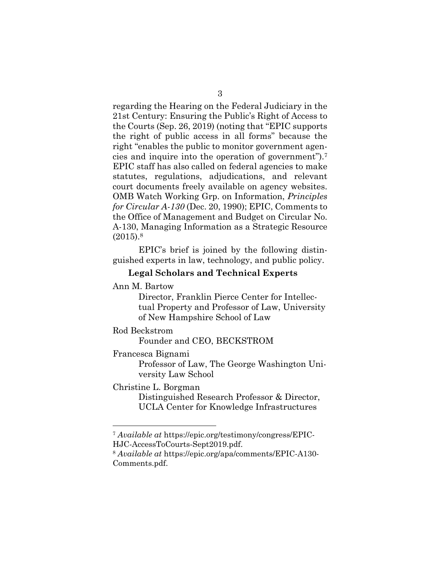regarding the Hearing on the Federal Judiciary in the 21st Century: Ensuring the Public's Right of Access to the Courts (Sep. 26, 2019) (noting that "EPIC supports the right of public access in all forms" because the right "enables the public to monitor government agencies and inquire into the operation of government").7 EPIC staff has also called on federal agencies to make statutes, regulations, adjudications, and relevant court documents freely available on agency websites. OMB Watch Working Grp. on Information, *Principles for Circular A-130* (Dec. 20, 1990); EPIC, Comments to the Office of Management and Budget on Circular No. A-130, Managing Information as a Strategic Resource  $(2015).8$ 

EPIC's brief is joined by the following distinguished experts in law, technology, and public policy.

#### **Legal Scholars and Technical Experts**

#### Ann M. Bartow

Director, Franklin Pierce Center for Intellectual Property and Professor of Law, University of New Hampshire School of Law

#### Rod Beckstrom

Founder and CEO, BECKSTROM

#### Francesca Bignami

Professor of Law, The George Washington University Law School

#### Christine L. Borgman

Distinguished Research Professor & Director, UCLA Center for Knowledge Infrastructures

<sup>7</sup> *Available at* https://epic.org/testimony/congress/EPIC-HJC-AccessToCourts-Sept2019.pdf.

<sup>8</sup> *Available at* https://epic.org/apa/comments/EPIC-A130- Comments.pdf.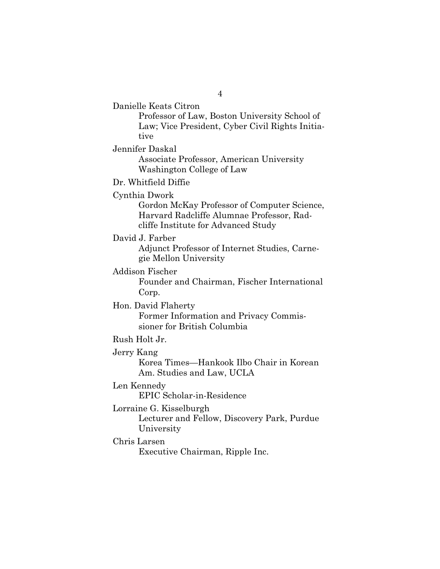Danielle Keats Citron

Professor of Law, Boston University School of Law; Vice President, Cyber Civil Rights Initiative

Jennifer Daskal

Associate Professor, American University Washington College of Law

Dr. Whitfield Diffie

Cynthia Dwork

Gordon McKay Professor of Computer Science, Harvard Radcliffe Alumnae Professor, Radcliffe Institute for Advanced Study

David J. Farber

Adjunct Professor of Internet Studies, Carnegie Mellon University

Addison Fischer

Founder and Chairman, Fischer International Corp.

Hon. David Flaherty

Former Information and Privacy Commissioner for British Columbia

Rush Holt Jr.

Jerry Kang

Korea Times—Hankook Ilbo Chair in Korean Am. Studies and Law, UCLA

Len Kennedy

EPIC Scholar-in-Residence

Lorraine G. Kisselburgh

Lecturer and Fellow, Discovery Park, Purdue University

Chris Larsen

Executive Chairman, Ripple Inc.

4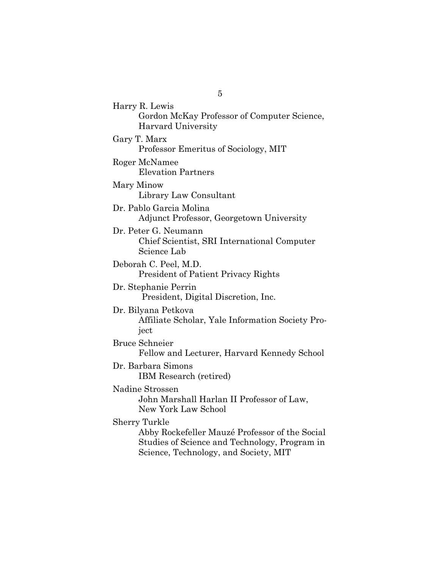Harry R. Lewis Gordon McKay Professor of Computer Science, Harvard University Gary T. Marx Professor Emeritus of Sociology, MIT Roger McNamee Elevation Partners Mary Minow Library Law Consultant Dr. Pablo Garcia Molina Adjunct Professor, Georgetown University Dr. Peter G. Neumann Chief Scientist, SRI International Computer Science Lab Deborah C. Peel, M.D. President of Patient Privacy Rights Dr. Stephanie Perrin President, Digital Discretion, Inc. Dr. Bilyana Petkova Affiliate Scholar, Yale Information Society Project Bruce Schneier Fellow and Lecturer, Harvard Kennedy School Dr. Barbara Simons IBM Research (retired) Nadine Strossen John Marshall Harlan II Professor of Law, New York Law School Sherry Turkle Abby Rockefeller Mauzé Professor of the Social Studies of Science and Technology, Program in Science, Technology, and Society, MIT

5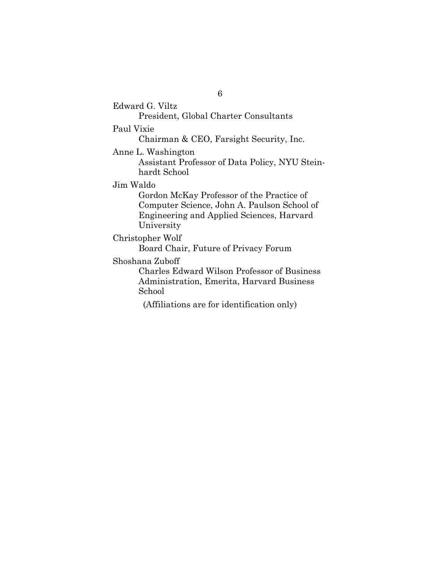Edward G. Viltz President, Global Charter Consultants Paul Vixie Chairman & CEO, Farsight Security, Inc. Anne L. Washington Assistant Professor of Data Policy, NYU Steinhardt School Jim Waldo Gordon McKay Professor of the Practice of Computer Science, John A. Paulson School of Engineering and Applied Sciences, Harvard University Christopher Wolf Board Chair, Future of Privacy Forum Shoshana Zuboff Charles Edward Wilson Professor of Business Administration, Emerita, Harvard Business School (Affiliations are for identification only)

6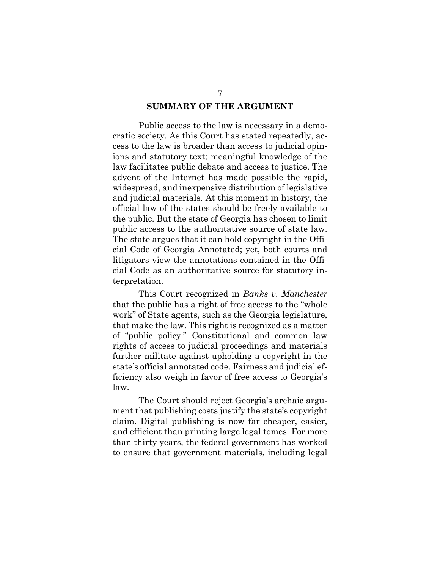## **SUMMARY OF THE ARGUMENT**

Public access to the law is necessary in a democratic society. As this Court has stated repeatedly, access to the law is broader than access to judicial opinions and statutory text; meaningful knowledge of the law facilitates public debate and access to justice. The advent of the Internet has made possible the rapid, widespread, and inexpensive distribution of legislative and judicial materials. At this moment in history, the official law of the states should be freely available to the public. But the state of Georgia has chosen to limit public access to the authoritative source of state law. The state argues that it can hold copyright in the Official Code of Georgia Annotated; yet, both courts and litigators view the annotations contained in the Official Code as an authoritative source for statutory interpretation.

This Court recognized in *Banks v. Manchester* that the public has a right of free access to the "whole work" of State agents, such as the Georgia legislature, that make the law. This right is recognized as a matter of "public policy." Constitutional and common law rights of access to judicial proceedings and materials further militate against upholding a copyright in the state's official annotated code. Fairness and judicial efficiency also weigh in favor of free access to Georgia's law.

The Court should reject Georgia's archaic argument that publishing costs justify the state's copyright claim. Digital publishing is now far cheaper, easier, and efficient than printing large legal tomes. For more than thirty years, the federal government has worked to ensure that government materials, including legal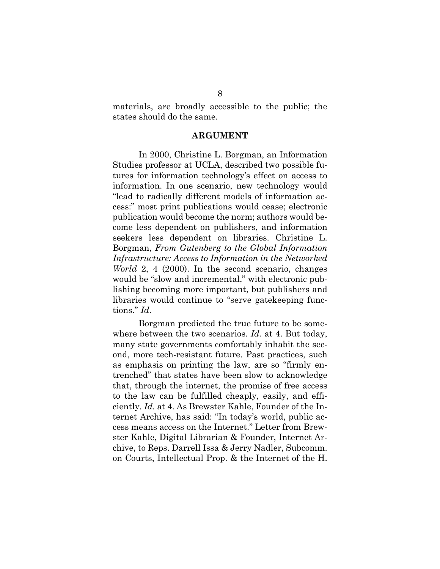materials, are broadly accessible to the public; the states should do the same.

#### **ARGUMENT**

In 2000, Christine L. Borgman, an Information Studies professor at UCLA, described two possible futures for information technology's effect on access to information. In one scenario, new technology would "lead to radically different models of information access:" most print publications would cease; electronic publication would become the norm; authors would become less dependent on publishers, and information seekers less dependent on libraries. Christine L. Borgman, *From Gutenberg to the Global Information Infrastructure: Access to Information in the Networked World* 2, 4 (2000). In the second scenario, changes would be "slow and incremental," with electronic publishing becoming more important, but publishers and libraries would continue to "serve gatekeeping functions." *Id*.

Borgman predicted the true future to be somewhere between the two scenarios. *Id.* at 4. But today, many state governments comfortably inhabit the second, more tech-resistant future. Past practices, such as emphasis on printing the law, are so "firmly entrenched" that states have been slow to acknowledge that, through the internet, the promise of free access to the law can be fulfilled cheaply, easily, and efficiently. *Id.* at 4. As Brewster Kahle, Founder of the Internet Archive, has said: "In today's world, public access means access on the Internet." Letter from Brewster Kahle, Digital Librarian & Founder, Internet Archive, to Reps. Darrell Issa & Jerry Nadler, Subcomm. on Courts, Intellectual Prop. & the Internet of the H.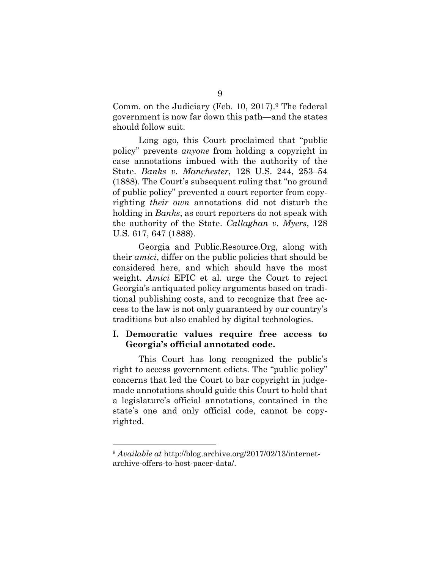Comm. on the Judiciary (Feb. 10, 2017).<sup>9</sup> The federal government is now far down this path—and the states should follow suit.

Long ago, this Court proclaimed that "public policy" prevents *anyone* from holding a copyright in case annotations imbued with the authority of the State. *Banks v. Manchester*, 128 U.S. 244, 253–54 (1888). The Court's subsequent ruling that "no ground of public policy" prevented a court reporter from copyrighting *their own* annotations did not disturb the holding in *Banks*, as court reporters do not speak with the authority of the State. *Callaghan v. Myers*, 128 U.S. 617, 647 (1888).

Georgia and Public.Resource.Org, along with their *amici*, differ on the public policies that should be considered here, and which should have the most weight. *Amici* EPIC et al. urge the Court to reject Georgia's antiquated policy arguments based on traditional publishing costs, and to recognize that free access to the law is not only guaranteed by our country's traditions but also enabled by digital technologies.

### **I. Democratic values require free access to Georgia's official annotated code.**

This Court has long recognized the public's right to access government edicts. The "public policy" concerns that led the Court to bar copyright in judgemade annotations should guide this Court to hold that a legislature's official annotations, contained in the state's one and only official code, cannot be copyrighted.

<sup>9</sup> *Available at* http://blog.archive.org/2017/02/13/internetarchive-offers-to-host-pacer-data/.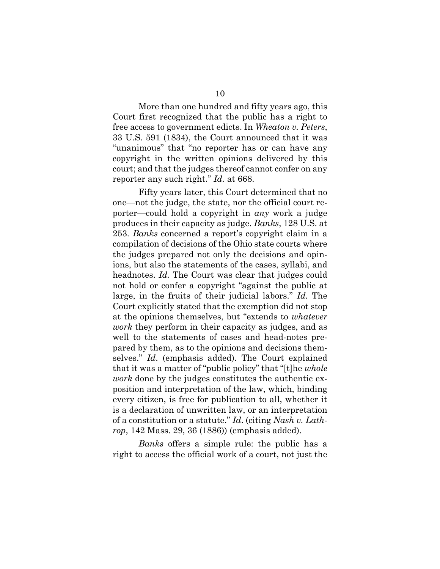More than one hundred and fifty years ago, this Court first recognized that the public has a right to free access to government edicts. In *Wheaton v. Peters*, 33 U.S. 591 (1834), the Court announced that it was "unanimous" that "no reporter has or can have any copyright in the written opinions delivered by this court; and that the judges thereof cannot confer on any reporter any such right." *Id.* at 668.

Fifty years later, this Court determined that no one—not the judge, the state, nor the official court reporter—could hold a copyright in *any* work a judge produces in their capacity as judge. *Banks*, 128 U.S. at 253. *Banks* concerned a report's copyright claim in a compilation of decisions of the Ohio state courts where the judges prepared not only the decisions and opinions, but also the statements of the cases, syllabi, and headnotes. *Id.* The Court was clear that judges could not hold or confer a copyright "against the public at large, in the fruits of their judicial labors." *Id.* The Court explicitly stated that the exemption did not stop at the opinions themselves, but "extends to *whatever work* they perform in their capacity as judges, and as well to the statements of cases and head-notes prepared by them, as to the opinions and decisions themselves." *Id*. (emphasis added). The Court explained that it was a matter of "public policy" that "[t]he *whole work* done by the judges constitutes the authentic exposition and interpretation of the law, which, binding every citizen, is free for publication to all, whether it is a declaration of unwritten law, or an interpretation of a constitution or a statute." *Id*. (citing *Nash v. Lathrop*, 142 Mass. 29, 36 (1886)) (emphasis added).

*Banks* offers a simple rule: the public has a right to access the official work of a court, not just the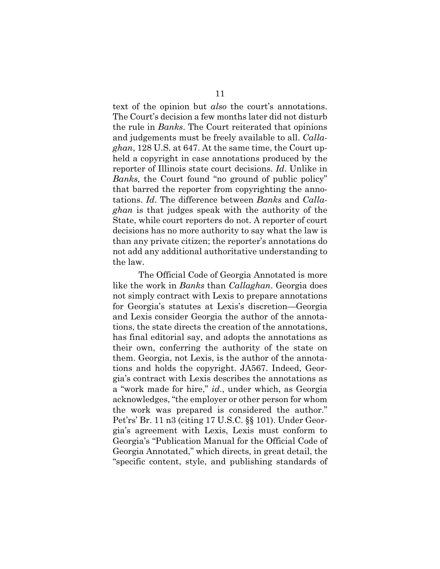text of the opinion but *also* the court's annotations. The Court's decision a few months later did not disturb the rule in *Banks*. The Court reiterated that opinions and judgements must be freely available to all. *Callaghan*, 128 U.S. at 647. At the same time, the Court upheld a copyright in case annotations produced by the reporter of Illinois state court decisions. *Id*. Unlike in *Banks,* the Court found "no ground of public policy" that barred the reporter from copyrighting the annotations. *Id*. The difference between *Banks* and *Callaghan* is that judges speak with the authority of the State, while court reporters do not. A reporter of court decisions has no more authority to say what the law is than any private citizen; the reporter's annotations do not add any additional authoritative understanding to the law.

The Official Code of Georgia Annotated is more like the work in *Banks* than *Callaghan*. Georgia does not simply contract with Lexis to prepare annotations for Georgia's statutes at Lexis's discretion—Georgia and Lexis consider Georgia the author of the annotations, the state directs the creation of the annotations, has final editorial say, and adopts the annotations as their own, conferring the authority of the state on them. Georgia, not Lexis, is the author of the annotations and holds the copyright. JA567. Indeed, Georgia's contract with Lexis describes the annotations as a "work made for hire," *id*., under which, as Georgia acknowledges, "the employer or other person for whom the work was prepared is considered the author." Pet'rs' Br. 11 n3 (citing 17 U.S.C. §§ 101). Under Georgia's agreement with Lexis, Lexis must conform to Georgia's "Publication Manual for the Official Code of Georgia Annotated," which directs, in great detail, the "specific content, style, and publishing standards of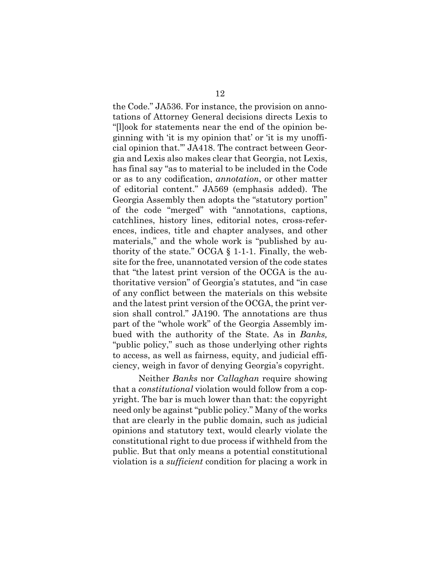the Code." JA536. For instance, the provision on annotations of Attorney General decisions directs Lexis to "[l]ook for statements near the end of the opinion beginning with 'it is my opinion that' or 'it is my unofficial opinion that.'" JA418. The contract between Georgia and Lexis also makes clear that Georgia, not Lexis, has final say "as to material to be included in the Code or as to any codification, *annotation*, or other matter of editorial content." JA569 (emphasis added). The Georgia Assembly then adopts the "statutory portion" of the code "merged" with "annotations, captions, catchlines, history lines, editorial notes, cross-references, indices, title and chapter analyses, and other materials," and the whole work is "published by authority of the state." OCGA § 1-1-1. Finally, the website for the free, unannotated version of the code states that "the latest print version of the OCGA is the authoritative version" of Georgia's statutes, and "in case of any conflict between the materials on this website and the latest print version of the OCGA, the print version shall control." JA190. The annotations are thus part of the "whole work" of the Georgia Assembly imbued with the authority of the State. As in *Banks,*  "public policy," such as those underlying other rights to access, as well as fairness, equity, and judicial efficiency, weigh in favor of denying Georgia's copyright.

Neither *Banks* nor *Callaghan* require showing that a *constitutional* violation would follow from a copyright. The bar is much lower than that: the copyright need only be against "public policy." Many of the works that are clearly in the public domain, such as judicial opinions and statutory text, would clearly violate the constitutional right to due process if withheld from the public. But that only means a potential constitutional violation is a *sufficient* condition for placing a work in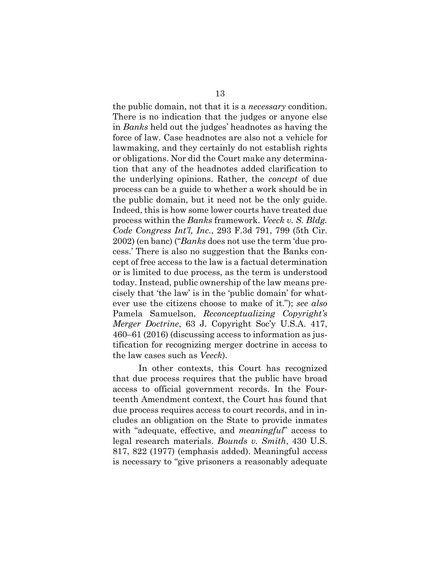the public domain, not that it is a *necessary* condition. There is no indication that the judges or anyone else in *Banks* held out the judges' headnotes as having the force of law. Case headnotes are also not a vehicle for lawmaking, and they certainly do not establish rights or obligations. Nor did the Court make any determination that any of the headnotes added clarification to the underlying opinions. Rather, the *concept* of due process can be a guide to whether a work should be in the public domain, but it need not be the only guide. Indeed, this is how some lower courts have treated due process within the *Banks* framework. *Veeck v. S. Bldg. Code Congress Int'l, Inc.*, 293 F.3d 791, 799 (5th Cir. 2002) (en banc) ("*Banks* does not use the term 'due process.' There is also no suggestion that the Banks concept of free access to the law is a factual determination or is limited to due process, as the term is understood today. Instead, public ownership of the law means precisely that 'the law' is in the 'public domain' for whatever use the citizens choose to make of it."); *see also*  Pamela Samuelson, *Reconceptualizing Copyright's Merger Doctrine*, 63 J. Copyright Soc'y U.S.A. 417, 460–61 (2016) (discussing access to information as justification for recognizing merger doctrine in access to the law cases such as *Veeck*).

In other contexts, this Court has recognized that due process requires that the public have broad access to official government records. In the Fourteenth Amendment context, the Court has found that due process requires access to court records, and in includes an obligation on the State to provide inmates with "adequate, effective, and *meaningful*" access to legal research materials. *Bounds v. Smith*, 430 U.S. 817, 822 (1977) (emphasis added). Meaningful access is necessary to "give prisoners a reasonably adequate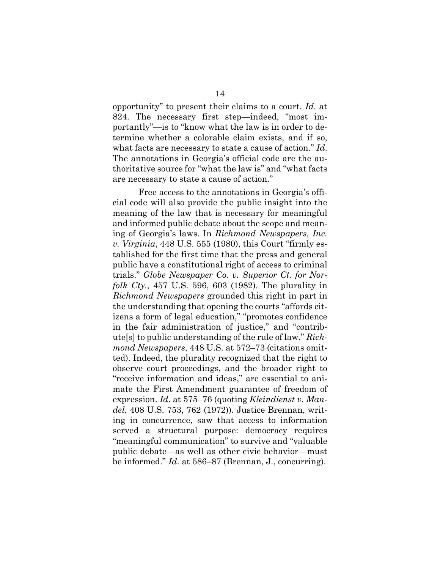opportunity" to present their claims to a court. *Id.* at 824. The necessary first step—indeed, "most importantly"—is to "know what the law is in order to determine whether a colorable claim exists, and if so, what facts are necessary to state a cause of action." *Id*. The annotations in Georgia's official code are the authoritative source for "what the law is" and "what facts are necessary to state a cause of action."

Free access to the annotations in Georgia's official code will also provide the public insight into the meaning of the law that is necessary for meaningful and informed public debate about the scope and meaning of Georgia's laws. In *Richmond Newspapers, Inc. v. Virginia*, 448 U.S. 555 (1980), this Court "firmly established for the first time that the press and general public have a constitutional right of access to criminal trials." *Globe Newspaper Co. v. Superior Ct. for Norfolk Cty.*, 457 U.S. 596, 603 (1982). The plurality in *Richmond Newspapers* grounded this right in part in the understanding that opening the courts "affords citizens a form of legal education," "promotes confidence in the fair administration of justice," and "contribute[s] to public understanding of the rule of law." *Richmond Newspapers*, 448 U.S. at 572–73 (citations omitted). Indeed, the plurality recognized that the right to observe court proceedings, and the broader right to "receive information and ideas," are essential to animate the First Amendment guarantee of freedom of expression. *Id*. at 575–76 (quoting *Kleindienst v. Mandel*, 408 U.S. 753, 762 (1972)). Justice Brennan, writing in concurrence, saw that access to information served a structural purpose: democracy requires "meaningful communication" to survive and "valuable public debate—as well as other civic behavior—must be informed." *Id*. at 586–87 (Brennan, J., concurring).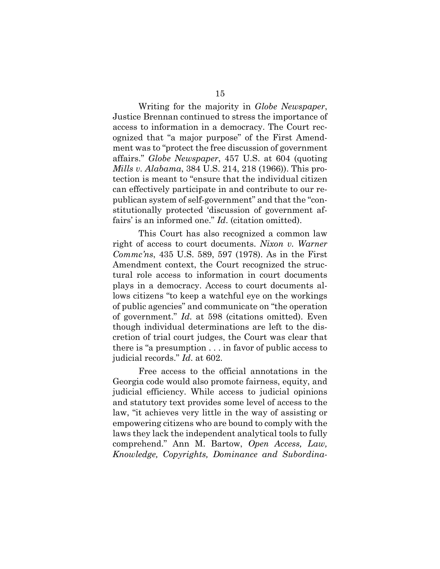Writing for the majority in *Globe Newspaper*, Justice Brennan continued to stress the importance of access to information in a democracy. The Court recognized that "a major purpose" of the First Amendment was to "protect the free discussion of government affairs." *Globe Newspaper*, 457 U.S. at 604 (quoting *Mills v. Alabama*, 384 U.S. 214, 218 (1966)). This protection is meant to "ensure that the individual citizen can effectively participate in and contribute to our republican system of self-government" and that the "constitutionally protected 'discussion of government affairs' is an informed one." *Id*. (citation omitted).

This Court has also recognized a common law right of access to court documents. *Nixon v. Warner Commc'ns*, 435 U.S. 589, 597 (1978). As in the First Amendment context, the Court recognized the structural role access to information in court documents plays in a democracy. Access to court documents allows citizens "to keep a watchful eye on the workings of public agencies" and communicate on "the operation of government." *Id*. at 598 (citations omitted). Even though individual determinations are left to the discretion of trial court judges, the Court was clear that there is "a presumption . . . in favor of public access to judicial records." *Id*. at 602.

Free access to the official annotations in the Georgia code would also promote fairness, equity, and judicial efficiency. While access to judicial opinions and statutory text provides some level of access to the law, "it achieves very little in the way of assisting or empowering citizens who are bound to comply with the laws they lack the independent analytical tools to fully comprehend." Ann M. Bartow, *Open Access, Law, Knowledge, Copyrights, Dominance and Subordina-*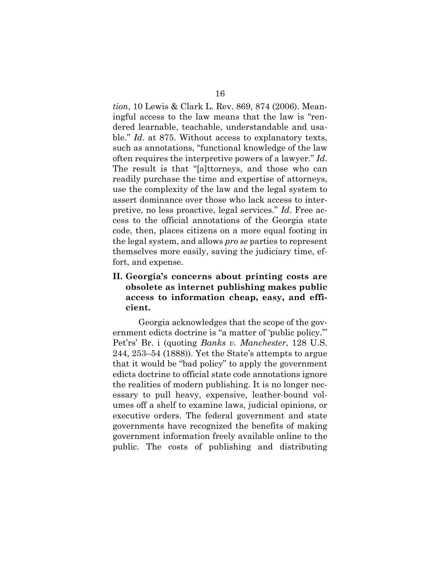*tion*, 10 Lewis & Clark L. Rev. 869, 874 (2006). Meaningful access to the law means that the law is "rendered learnable, teachable, understandable and usable." *Id*. at 875. Without access to explanatory texts, such as annotations, "functional knowledge of the law often requires the interpretive powers of a lawyer." *Id*. The result is that "[a]ttorneys, and those who can readily purchase the time and expertise of attorneys, use the complexity of the law and the legal system to assert dominance over those who lack access to interpretive, no less proactive, legal services." *Id*. Free access to the official annotations of the Georgia state code, then, places citizens on a more equal footing in the legal system, and allows *pro se* parties to represent themselves more easily, saving the judiciary time, effort, and expense.

## **II. Georgia's concerns about printing costs are obsolete as internet publishing makes public access to information cheap, easy, and efficient.**

Georgia acknowledges that the scope of the government edicts doctrine is "a matter of 'public policy.'" Pet'rs' Br. i (quoting *Banks v. Manchester*, 128 U.S. 244, 253–54 (1888)). Yet the State's attempts to argue that it would be "bad policy" to apply the government edicts doctrine to official state code annotations ignore the realities of modern publishing. It is no longer necessary to pull heavy, expensive, leather-bound volumes off a shelf to examine laws, judicial opinions, or executive orders. The federal government and state governments have recognized the benefits of making government information freely available online to the public. The costs of publishing and distributing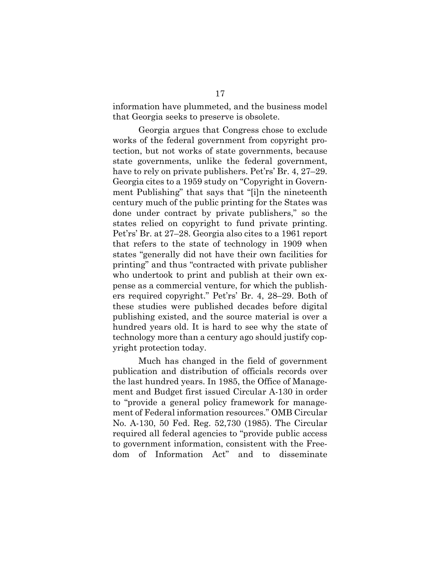information have plummeted, and the business model that Georgia seeks to preserve is obsolete.

Georgia argues that Congress chose to exclude works of the federal government from copyright protection, but not works of state governments, because state governments, unlike the federal government, have to rely on private publishers. Pet'rs' Br. 4, 27–29. Georgia cites to a 1959 study on "Copyright in Government Publishing" that says that "[i]n the nineteenth century much of the public printing for the States was done under contract by private publishers," so the states relied on copyright to fund private printing. Pet'rs' Br. at 27–28. Georgia also cites to a 1961 report that refers to the state of technology in 1909 when states "generally did not have their own facilities for printing" and thus "contracted with private publisher who undertook to print and publish at their own expense as a commercial venture, for which the publishers required copyright." Pet'rs' Br. 4, 28–29. Both of these studies were published decades before digital publishing existed, and the source material is over a hundred years old. It is hard to see why the state of technology more than a century ago should justify copyright protection today.

Much has changed in the field of government publication and distribution of officials records over the last hundred years. In 1985, the Office of Management and Budget first issued Circular A-130 in order to "provide a general policy framework for management of Federal information resources." OMB Circular No. A-130, 50 Fed. Reg. 52,730 (1985). The Circular required all federal agencies to "provide public access to government information, consistent with the Freedom of Information Act" and to disseminate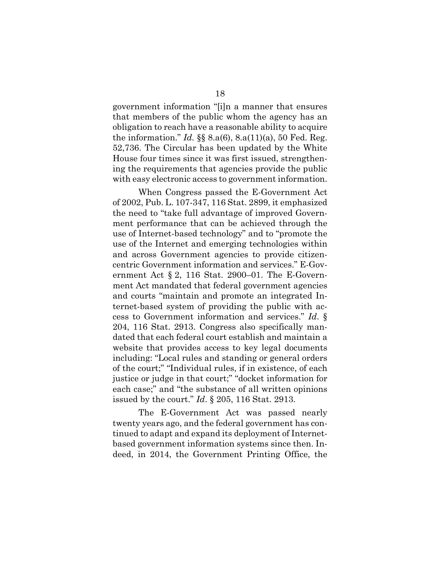government information "[i]n a manner that ensures that members of the public whom the agency has an obligation to reach have a reasonable ability to acquire the information." *Id.* §§ 8.a(6), 8.a(11)(a), 50 Fed. Reg. 52,736. The Circular has been updated by the White House four times since it was first issued, strengthening the requirements that agencies provide the public with easy electronic access to government information.

When Congress passed the E-Government Act of 2002, Pub. L. 107-347, 116 Stat. 2899, it emphasized the need to "take full advantage of improved Government performance that can be achieved through the use of Internet-based technology" and to "promote the use of the Internet and emerging technologies within and across Government agencies to provide citizencentric Government information and services." E-Government Act  $\S 2$ , 116 Stat. 2900–01. The E-Government Act mandated that federal government agencies and courts "maintain and promote an integrated Internet-based system of providing the public with access to Government information and services." *Id*. § 204, 116 Stat. 2913. Congress also specifically mandated that each federal court establish and maintain a website that provides access to key legal documents including: "Local rules and standing or general orders of the court;" "Individual rules, if in existence, of each justice or judge in that court;" "docket information for each case;" and "the substance of all written opinions issued by the court." *Id*. § 205, 116 Stat. 2913.

The E-Government Act was passed nearly twenty years ago, and the federal government has continued to adapt and expand its deployment of Internetbased government information systems since then. Indeed, in 2014, the Government Printing Office, the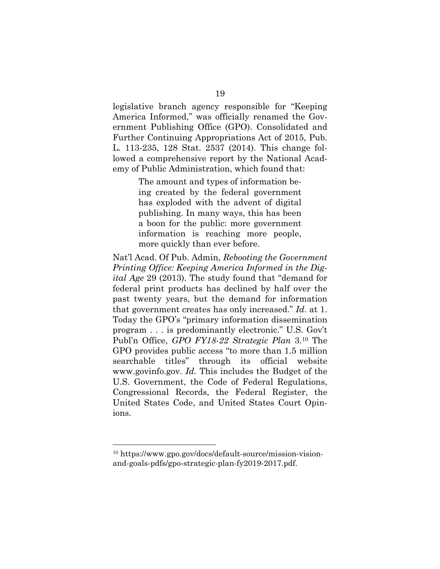legislative branch agency responsible for "Keeping America Informed," was officially renamed the Government Publishing Office (GPO). Consolidated and Further Continuing Appropriations Act of 2015, Pub. L. 113-235, 128 Stat. 2537 (2014). This change followed a comprehensive report by the National Academy of Public Administration, which found that:

> The amount and types of information being created by the federal government has exploded with the advent of digital publishing. In many ways, this has been a boon for the public: more government information is reaching more people, more quickly than ever before.

Nat'l Acad. Of Pub. Admin, *Rebooting the Government Printing Office: Keeping America Informed in the Digital Age* 29 (2013). The study found that "demand for federal print products has declined by half over the past twenty years, but the demand for information that government creates has only increased." *Id*. at 1. Today the GPO's "primary information dissemination program . . . is predominantly electronic." U.S. Gov't Publ'n Office, *GPO FY18-22 Strategic Plan* 3.<sup>10</sup> The GPO provides public access "to more than 1.5 million searchable titles" through its official website www.govinfo.gov. *Id.* This includes the Budget of the U.S. Government, the Code of Federal Regulations, Congressional Records, the Federal Register, the United States Code, and United States Court Opinions.

<sup>10</sup> https://www.gpo.gov/docs/default-source/mission-visionand-goals-pdfs/gpo-strategic-plan-fy2019-2017.pdf.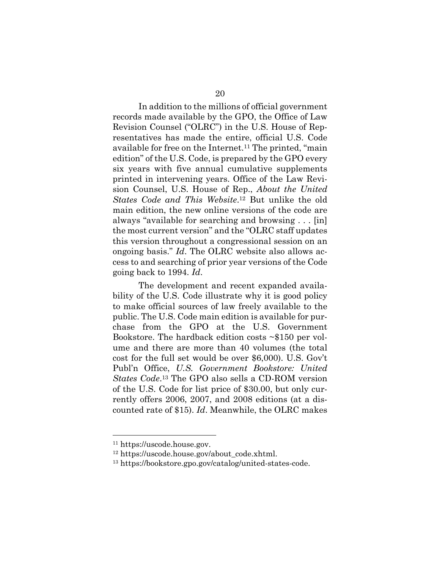In addition to the millions of official government records made available by the GPO, the Office of Law Revision Counsel ("OLRC") in the U.S. House of Representatives has made the entire, official U.S. Code available for free on the Internet.<sup>11</sup> The printed, "main edition" of the U.S. Code, is prepared by the GPO every six years with five annual cumulative supplements printed in intervening years. Office of the Law Revision Counsel, U.S. House of Rep., *About the United States Code and This Website*.12 But unlike the old main edition, the new online versions of the code are always "available for searching and browsing . . . [in] the most current version" and the "OLRC staff updates this version throughout a congressional session on an ongoing basis." *Id*. The OLRC website also allows access to and searching of prior year versions of the Code going back to 1994. *Id*.

The development and recent expanded availability of the U.S. Code illustrate why it is good policy to make official sources of law freely available to the public. The U.S. Code main edition is available for purchase from the GPO at the U.S. Government Bookstore. The hardback edition costs ~\$150 per volume and there are more than 40 volumes (the total cost for the full set would be over \$6,000). U.S. Gov't Publ'n Office, *U.S. Government Bookstore: United States Code*.13 The GPO also sells a CD-ROM version of the U.S. Code for list price of \$30.00, but only currently offers 2006, 2007, and 2008 editions (at a discounted rate of \$15). *Id*. Meanwhile, the OLRC makes

<sup>11</sup> https://uscode.house.gov.

<sup>12</sup> https://uscode.house.gov/about\_code.xhtml.

<sup>13</sup> https://bookstore.gpo.gov/catalog/united-states-code.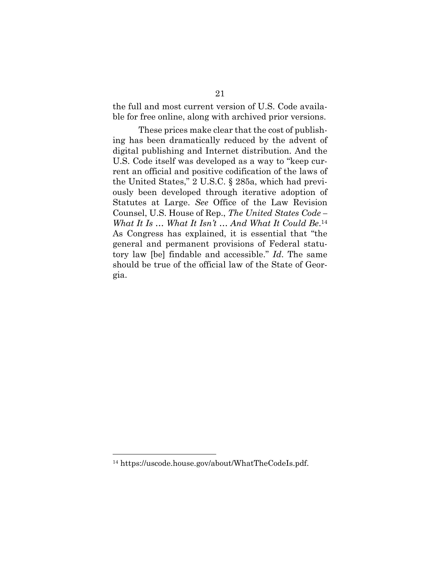the full and most current version of U.S. Code available for free online, along with archived prior versions.

These prices make clear that the cost of publishing has been dramatically reduced by the advent of digital publishing and Internet distribution. And the U.S. Code itself was developed as a way to "keep current an official and positive codification of the laws of the United States," 2 U.S.C. § 285a, which had previously been developed through iterative adoption of Statutes at Large. *See* Office of the Law Revision Counsel, U.S. House of Rep., *The United States Code – What It Is … What It Isn't … And What It Could Be*.14 As Congress has explained, it is essential that "the general and permanent provisions of Federal statutory law [be] findable and accessible." *Id*. The same should be true of the official law of the State of Georgia.

<sup>14</sup> https://uscode.house.gov/about/WhatTheCodeIs.pdf.